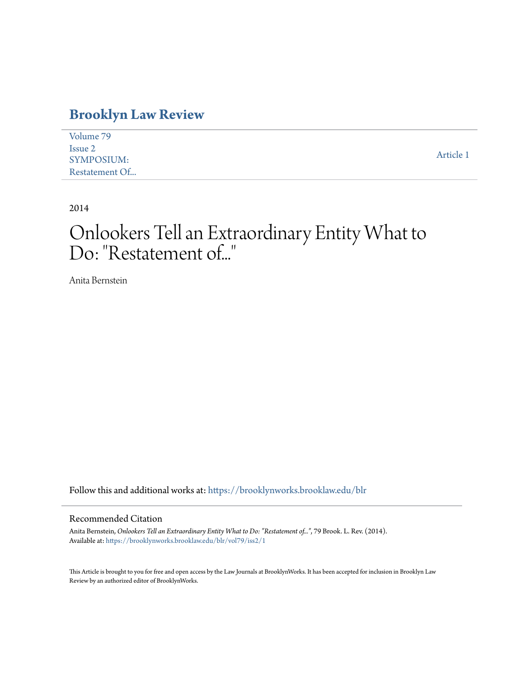### **[Brooklyn Law Review](https://brooklynworks.brooklaw.edu/blr?utm_source=brooklynworks.brooklaw.edu%2Fblr%2Fvol79%2Fiss2%2F1&utm_medium=PDF&utm_campaign=PDFCoverPages)**

| Volume 79         |           |
|-------------------|-----------|
| Issue 2           |           |
| <b>SYMPOSIUM:</b> | Article 1 |
| Restatement Of    |           |

2014

# Onlookers Tell an Extraordinary Entity What to Do: "Restatement of..."

Anita Bernstein

Follow this and additional works at: [https://brooklynworks.brooklaw.edu/blr](https://brooklynworks.brooklaw.edu/blr?utm_source=brooklynworks.brooklaw.edu%2Fblr%2Fvol79%2Fiss2%2F1&utm_medium=PDF&utm_campaign=PDFCoverPages)

#### Recommended Citation

Anita Bernstein, *Onlookers Tell an Extraordinary Entity What to Do: "Restatement of..."*, 79 Brook. L. Rev. (2014). Available at: [https://brooklynworks.brooklaw.edu/blr/vol79/iss2/1](https://brooklynworks.brooklaw.edu/blr/vol79/iss2/1?utm_source=brooklynworks.brooklaw.edu%2Fblr%2Fvol79%2Fiss2%2F1&utm_medium=PDF&utm_campaign=PDFCoverPages)

This Article is brought to you for free and open access by the Law Journals at BrooklynWorks. It has been accepted for inclusion in Brooklyn Law Review by an authorized editor of BrooklynWorks.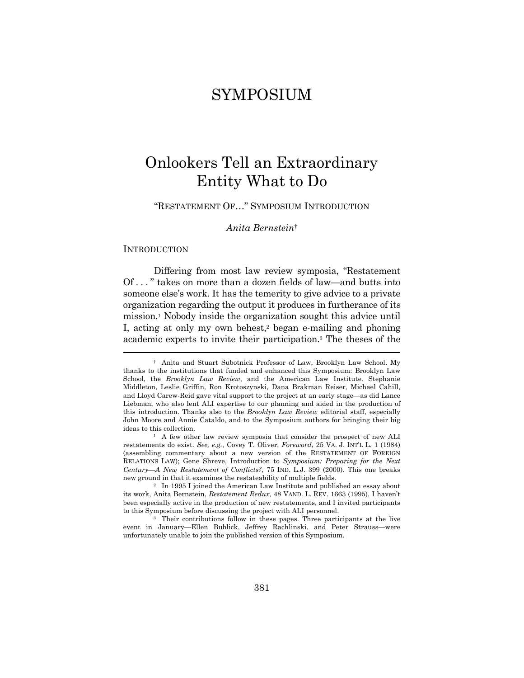### SYMPOSIUM

## Onlookers Tell an Extraordinary Entity What to Do

"RESTATEMENT OF…" SYMPOSIUM INTRODUCTION

#### *Anita Bernstein*†

**INTRODUCTION** 

Differing from most law review symposia, "Restatement Of . . . " takes on more than a dozen fields of law—and butts into someone else's work. It has the temerity to give advice to a private organization regarding the output it produces in furtherance of its mission.1 Nobody inside the organization sought this advice until I, acting at only my own behest,<sup>2</sup> began e-mailing and phoning academic experts to invite their participation.3 The theses of the

 <sup>†</sup> Anita and Stuart Subotnick Professor of Law, Brooklyn Law School. My thanks to the institutions that funded and enhanced this Symposium: Brooklyn Law School, the *Brooklyn Law Review*, and the American Law Institute. Stephanie Middleton, Leslie Griffin, Ron Krotoszynski, Dana Brakman Reiser, Michael Cahill, and Lloyd Carew-Reid gave vital support to the project at an early stage—as did Lance Liebman, who also lent ALI expertise to our planning and aided in the production of this introduction. Thanks also to the *Brooklyn Law Review* editorial staff, especially John Moore and Annie Cataldo, and to the Symposium authors for bringing their big ideas to this collection. 1 A few other law review symposia that consider the prospect of new ALI

restatements do exist. *See, e.g.*, Covey T. Oliver, *Foreword*, 25 VA. J. INT'L L. 1 (1984) (assembling commentary about a new version of the RESTATEMENT OF FOREIGN RELATIONS LAW); Gene Shreve, Introduction to *Symposium: Preparing for the Next Century—A New Restatement of Conflicts?*, 75 IND. L.J. 399 (2000). This one breaks new ground in that it examines the restateability of multiple fields. 2 In 1995 I joined the American Law Institute and published an essay about

its work, Anita Bernstein, *Restatement Redux*, 48 VAND. L. REV. 1663 (1995). I haven't been especially active in the production of new restatements, and I invited participants to this Symposium before discussing the project with ALI personnel.<br><sup>3</sup> Their contributions follow in these pages. Three participants at the live

event in January—Ellen Bublick, Jeffrey Rachlinski, and Peter Strauss—were unfortunately unable to join the published version of this Symposium.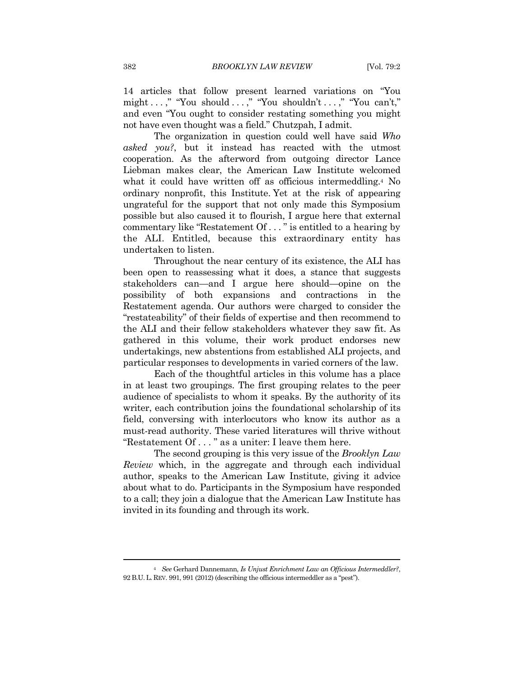14 articles that follow present learned variations on "You might . . . ," "You should . . . ," "You shouldn't . . . ," "You can't," and even "You ought to consider restating something you might not have even thought was a field." Chutzpah, I admit.

The organization in question could well have said *Who asked you?*, but it instead has reacted with the utmost cooperation. As the afterword from outgoing director Lance Liebman makes clear, the American Law Institute welcomed what it could have written off as officious intermeddling.<sup>4</sup> No ordinary nonprofit, this Institute. Yet at the risk of appearing ungrateful for the support that not only made this Symposium possible but also caused it to flourish, I argue here that external commentary like "Restatement Of . . . " is entitled to a hearing by the ALI. Entitled, because this extraordinary entity has undertaken to listen.

Throughout the near century of its existence, the ALI has been open to reassessing what it does, a stance that suggests stakeholders can—and I argue here should—opine on the possibility of both expansions and contractions in the Restatement agenda. Our authors were charged to consider the "restateability" of their fields of expertise and then recommend to the ALI and their fellow stakeholders whatever they saw fit. As gathered in this volume, their work product endorses new undertakings, new abstentions from established ALI projects, and particular responses to developments in varied corners of the law.

Each of the thoughtful articles in this volume has a place in at least two groupings. The first grouping relates to the peer audience of specialists to whom it speaks. By the authority of its writer, each contribution joins the foundational scholarship of its field, conversing with interlocutors who know its author as a must-read authority. These varied literatures will thrive without "Restatement Of . . . " as a uniter: I leave them here.

The second grouping is this very issue of the *Brooklyn Law Review* which, in the aggregate and through each individual author, speaks to the American Law Institute, giving it advice about what to do. Participants in the Symposium have responded to a call; they join a dialogue that the American Law Institute has invited in its founding and through its work.

<sup>4</sup> *See* Gerhard Dannemann, *Is Unjust Enrichment Law an Officious Intermeddler?*, 92 B.U.L. REV. 991, 991 (2012) (describing the officious intermeddler as a "pest").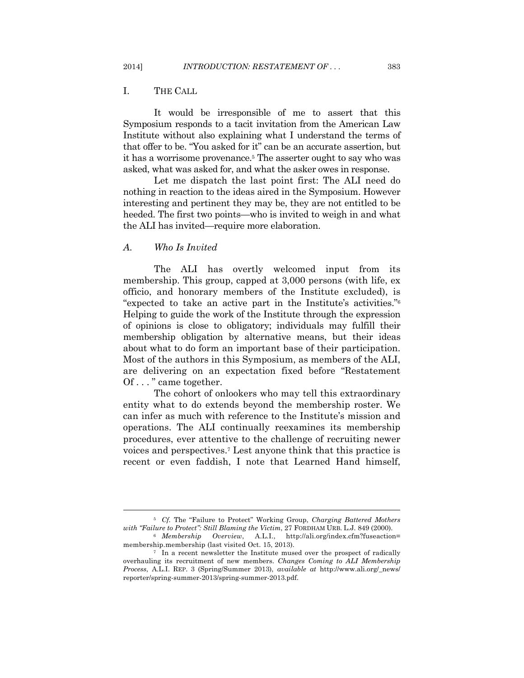#### I. THE CALL

It would be irresponsible of me to assert that this Symposium responds to a tacit invitation from the American Law Institute without also explaining what I understand the terms of that offer to be. "You asked for it" can be an accurate assertion, but it has a worrisome provenance.5 The asserter ought to say who was asked, what was asked for, and what the asker owes in response.

Let me dispatch the last point first: The ALI need do nothing in reaction to the ideas aired in the Symposium. However interesting and pertinent they may be, they are not entitled to be heeded. The first two points—who is invited to weigh in and what the ALI has invited—require more elaboration.

#### *A. Who Is Invited*

The ALI has overtly welcomed input from its membership. This group, capped at 3,000 persons (with life, ex officio, and honorary members of the Institute excluded), is "expected to take an active part in the Institute's activities."6 Helping to guide the work of the Institute through the expression of opinions is close to obligatory; individuals may fulfill their membership obligation by alternative means, but their ideas about what to do form an important base of their participation. Most of the authors in this Symposium, as members of the ALI, are delivering on an expectation fixed before "Restatement Of . . . " came together.

The cohort of onlookers who may tell this extraordinary entity what to do extends beyond the membership roster. We can infer as much with reference to the Institute's mission and operations. The ALI continually reexamines its membership procedures, ever attentive to the challenge of recruiting newer voices and perspectives.7 Lest anyone think that this practice is recent or even faddish, I note that Learned Hand himself,

<sup>5</sup> *Cf.* The "Failure to Protect" Working Group, *Charging Battered Mothers with "Failure to Protect": Still Blaming the Victim*, 27 FORDHAM URB. L.J. 849 (2000). 6 *Membership Overview*, A.L.I., http://ali.org/index.cfm?fuseaction=

membership.membership (last visited Oct. 15, 2013).<br><sup>7</sup> In a recent newsletter the Institute mused over the prospect of radically

overhauling its recruitment of new members. *Changes Coming to ALI Membership Process*, A.L.I. REP. 3 (Spring/Summer 2013), *available at* http://www.ali.org/\_news/ reporter/spring-summer-2013/spring-summer-2013.pdf.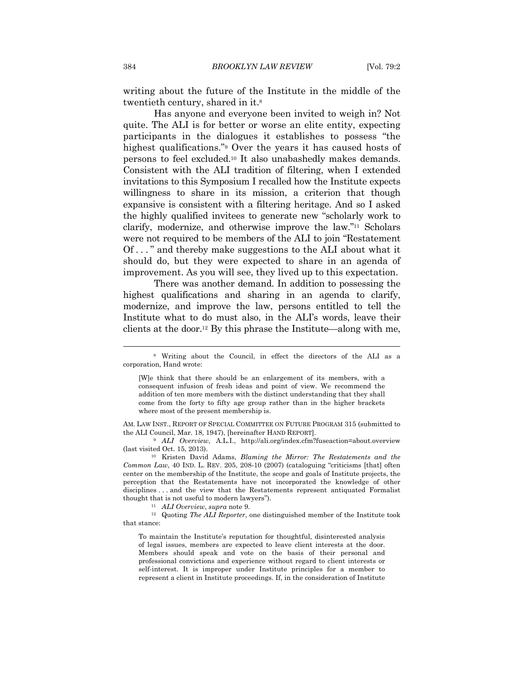writing about the future of the Institute in the middle of the twentieth century, shared in it.8

Has anyone and everyone been invited to weigh in? Not quite. The ALI is for better or worse an elite entity, expecting participants in the dialogues it establishes to possess "the highest qualifications."<sup>9</sup> Over the years it has caused hosts of persons to feel excluded.10 It also unabashedly makes demands. Consistent with the ALI tradition of filtering, when I extended invitations to this Symposium I recalled how the Institute expects willingness to share in its mission, a criterion that though expansive is consistent with a filtering heritage. And so I asked the highly qualified invitees to generate new "scholarly work to clarify, modernize, and otherwise improve the law."11 Scholars were not required to be members of the ALI to join "Restatement Of . . . " and thereby make suggestions to the ALI about what it should do, but they were expected to share in an agenda of improvement. As you will see, they lived up to this expectation.

There was another demand. In addition to possessing the highest qualifications and sharing in an agenda to clarify, modernize, and improve the law, persons entitled to tell the Institute what to do must also, in the ALI's words, leave their clients at the door.12 By this phrase the Institute—along with me,

[W]e think that there should be an enlargement of its members, with a consequent infusion of fresh ideas and point of view. We recommend the addition of ten more members with the distinct understanding that they shall come from the forty to fifty age group rather than in the higher brackets where most of the present membership is.

AM. LAW INST., REPORT OF SPECIAL COMMITTEE ON FUTURE PROGRAM 315 (submitted to the ALI Council, Mar. 18, 1947), [hereinafter HAND REPORT].

<sup>9</sup> ALI Overview, A.L.I., http://ali.org/index.cfm?fuseaction=about.overview (last visited Oct. 15, 2013). 10 Kristen David Adams, *Blaming the Mirror: The Restatements and the* 

*Common Law*, 40 IND. L. REV. 205, 208-10 (2007) (cataloguing "criticisms [that] often center on the membership of the Institute, the scope and goals of Institute projects, the perception that the Restatements have not incorporated the knowledge of other disciplines . . . and the view that the Restatements represent antiquated Formalist

thought that is not useful to modern lawyers").<br><sup>11</sup> *ALI Overview, supra* note 9.<br><sup>12</sup> Quoting *The ALI Reporter*, one distinguished member of the Institute took that stance:

To maintain the Institute's reputation for thoughtful, disinterested analysis of legal issues, members are expected to leave client interests at the door. Members should speak and vote on the basis of their personal and professional convictions and experience without regard to client interests or self-interest. It is improper under Institute principles for a member to represent a client in Institute proceedings. If, in the consideration of Institute

<sup>8</sup> Writing about the Council, in effect the directors of the ALI as a corporation, Hand wrote: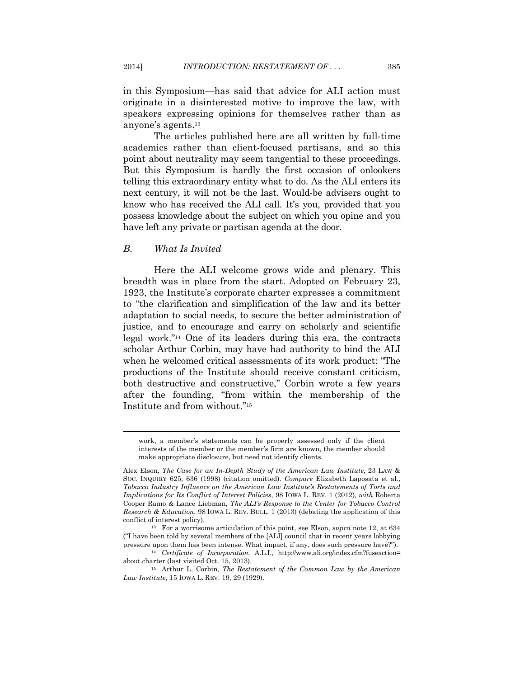in this Symposium—has said that advice for ALI action must originate in a disinterested motive to improve the law, with speakers expressing opinions for themselves rather than as anyone's agents.13

The articles published here are all written by full-time academics rather than client-focused partisans, and so this point about neutrality may seem tangential to these proceedings. But this Symposium is hardly the first occasion of onlookers telling this extraordinary entity what to do. As the ALI enters its next century, it will not be the last. Would-be advisers ought to know who has received the ALI call. It's you, provided that you possess knowledge about the subject on which you opine and you have left any private or partisan agenda at the door.

#### *B. What Is Invited*

 $\overline{\phantom{a}}$ 

Here the ALI welcome grows wide and plenary. This breadth was in place from the start. Adopted on February 23, 1923, the Institute's corporate charter expresses a commitment to "the clarification and simplification of the law and its better adaptation to social needs, to secure the better administration of justice, and to encourage and carry on scholarly and scientific legal work."14 One of its leaders during this era, the contracts scholar Arthur Corbin, may have had authority to bind the ALI when he welcomed critical assessments of its work product: "The productions of the Institute should receive constant criticism, both destructive and constructive," Corbin wrote a few years after the founding, "from within the membership of the Institute and from without."15

work, a member's statements can be properly assessed only if the client interests of the member or the member's firm are known, the member should make appropriate disclosure, but need not identify clients.

Alex Elson, *The Case for an In-Depth Study of the American Law Institute*, 23 LAW & SOC. INQUIRY 625, 636 (1998) (citation omitted). *Compare* Elizabeth Laposata et al., *Tobacco Industry Influence on the American Law Institute's Restatements of Torts and Implications for Its Conflict of Interest Policies*, 98 IOWA L. REV. 1 (2012), *with* Roberta Cooper Ramo & Lance Liebman, *The ALI's Response to the Center for Tobacco Control Research & Education*, 98 IOWA L. REV. BULL. 1 (2013) (debating the application of this conflict of interest policy). 13 For a worrisome articulation of this point, see Elson, *supra* note 12, at 634

<sup>(&</sup>quot;I have been told by several members of the [ALI] council that in recent years lobbying pressure upon them has been intense. What impact, if any, does such pressure have?"). 14 *Certificate of Incorporation*, A.L.I., http://www.ali.org/index.cfm?fuseaction=

about.charter (last visited Oct. 15, 2013). 15 Arthur L. Corbin, *The Restatement of the Common Law by the American* 

*Law Institute*, 15 IOWA L. REV. 19, 29 (1929).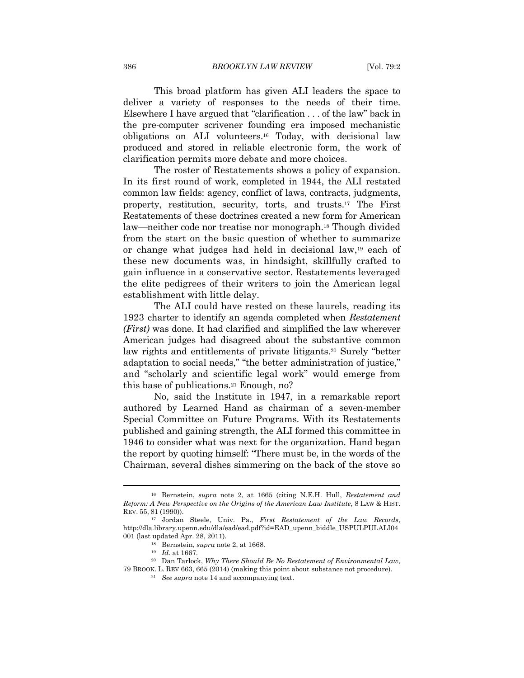This broad platform has given ALI leaders the space to deliver a variety of responses to the needs of their time. Elsewhere I have argued that "clarification . . . of the law" back in the pre-computer scrivener founding era imposed mechanistic obligations on ALI volunteers.16 Today, with decisional law produced and stored in reliable electronic form, the work of clarification permits more debate and more choices.

The roster of Restatements shows a policy of expansion. In its first round of work, completed in 1944, the ALI restated common law fields: agency, conflict of laws, contracts, judgments, property, restitution, security, torts, and trusts.17 The First Restatements of these doctrines created a new form for American law—neither code nor treatise nor monograph.18 Though divided from the start on the basic question of whether to summarize or change what judges had held in decisional law,19 each of these new documents was, in hindsight, skillfully crafted to gain influence in a conservative sector. Restatements leveraged the elite pedigrees of their writers to join the American legal establishment with little delay.

The ALI could have rested on these laurels, reading its 1923 charter to identify an agenda completed when *Restatement (First)* was done. It had clarified and simplified the law wherever American judges had disagreed about the substantive common law rights and entitlements of private litigants.20 Surely "better adaptation to social needs," "the better administration of justice," and "scholarly and scientific legal work" would emerge from this base of publications.21 Enough, no?

No, said the Institute in 1947, in a remarkable report authored by Learned Hand as chairman of a seven-member Special Committee on Future Programs. With its Restatements published and gaining strength, the ALI formed this committee in 1946 to consider what was next for the organization. Hand began the report by quoting himself: "There must be, in the words of the Chairman, several dishes simmering on the back of the stove so

<sup>16</sup> Bernstein, *supra* note 2, at 1665 (citing N.E.H. Hull, *Restatement and Reform: A New Perspective on the Origins of the American Law Institute*, 8 LAW & HIST. REV. 55, <sup>81</sup> (1990)). 17 Jordan Steele, Univ. Pa., *First Restatement of the Law Records*,

http://dla.library.upenn.edu/dla/ead/ead.pdf?id=EAD\_upenn\_biddle\_USPULPULALI04 001 (last updated Apr. 28, 2011). 18 Bernstein, *supra* note 2, at 1668. 19 *Id.* at 1667. 20 Dan Tarlock, *Why There Should Be No Restatement of Environmental Law*,

<sup>79</sup> BROOK. L. REV 663, 665 (2014) (making this point about substance not procedure). 21 *See supra* note 14 and accompanying text.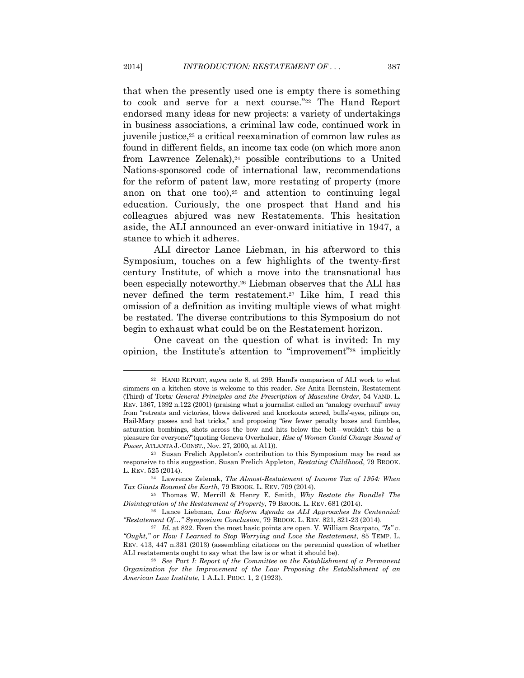that when the presently used one is empty there is something to cook and serve for a next course."22 The Hand Report endorsed many ideas for new projects: a variety of undertakings in business associations, a criminal law code, continued work in juvenile justice,<sup>23</sup> a critical reexamination of common law rules as found in different fields, an income tax code (on which more anon from Lawrence Zelenak),<sup>24</sup> possible contributions to a United Nations-sponsored code of international law, recommendations for the reform of patent law, more restating of property (more anon on that one too), $25$  and attention to continuing legal education. Curiously, the one prospect that Hand and his colleagues abjured was new Restatements. This hesitation aside, the ALI announced an ever-onward initiative in 1947, a stance to which it adheres.

ALI director Lance Liebman, in his afterword to this Symposium, touches on a few highlights of the twenty-first century Institute, of which a move into the transnational has been especially noteworthy.26 Liebman observes that the ALI has never defined the term restatement.27 Like him, I read this omission of a definition as inviting multiple views of what might be restated. The diverse contributions to this Symposium do not begin to exhaust what could be on the Restatement horizon.

One caveat on the question of what is invited: In my opinion, the Institute's attention to "improvement"28 implicitly

<sup>22</sup> HAND REPORT, *supra* note 8, at 299. Hand's comparison of ALI work to what simmers on a kitchen stove is welcome to this reader. *See* Anita Bernstein, Restatement (Third) of Torts*: General Principles and the Prescription of Masculine Order*, 54 VAND. L. REV. 1367, 1392 n.122 (2001) (praising what a journalist called an "analogy overhaul" away from "retreats and victories, blows delivered and knockouts scored, bulls'-eyes, pilings on, Hail-Mary passes and hat tricks," and proposing "few fewer penalty boxes and fumbles, saturation bombings, shots across the bow and hits below the belt—wouldn't this be a pleasure for everyone?"(quoting Geneva Overholser, *Rise of Women Could Change Sound of Power*, ATLANTA J.-CONST., Nov. 27, 2000, at A11).<br><sup>23</sup> Susan Frelich Appleton's contribution to this Symposium may be read as

responsive to this suggestion. Susan Frelich Appleton, *Restating Childhood*, 79 BROOK. L. REV. <sup>525</sup> (2014). 24 Lawrence Zelenak, *The Almost-Restatement of Income Tax of 1954: When* 

*Tax Giants Roamed the Earth*, 79 BROOK. L. REV. 709 (2014).

<sup>25</sup> Thomas W. Merrill & Henry E. Smith, *Why Restate the Bundle? The Disintegration of the Restatement of Property*, 79 BROOK. L. REV. <sup>681</sup> (2014). 26 Lance Liebman, *Law Reform Agenda as ALI Approaches Its Centennial:* 

*<sup>&</sup>quot;Restatement Of…" Symposium Conclusion*, 79 BROOK. L. REV. 821, 821-23 (2014). 27 *Id*. at 822. Even the most basic points are open. V. William Scarpato, *"Is" v.* 

*<sup>&</sup>quot;Ought," or How I Learned to Stop Worrying and Love the Restatement*, 85 TEMP. L. REV. 413, 447 n.331 (2013) (assembling citations on the perennial question of whether ALI restatements ought to say what the law is or what it should be). 28 *See Part I: Report of the Committee on the Establishment of a Permanent* 

*Organization for the Improvement of the Law Proposing the Establishment of an American Law Institute*, 1 A.L.I. PROC. 1, 2 (1923).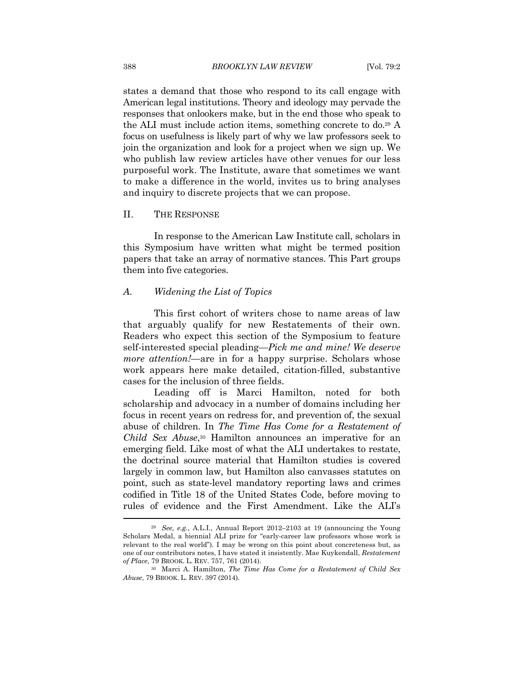states a demand that those who respond to its call engage with American legal institutions. Theory and ideology may pervade the responses that onlookers make, but in the end those who speak to the ALI must include action items, something concrete to do.29 A focus on usefulness is likely part of why we law professors seek to join the organization and look for a project when we sign up. We who publish law review articles have other venues for our less purposeful work. The Institute, aware that sometimes we want to make a difference in the world, invites us to bring analyses and inquiry to discrete projects that we can propose.

#### II. THE RESPONSE

In response to the American Law Institute call, scholars in this Symposium have written what might be termed position papers that take an array of normative stances. This Part groups them into five categories.

#### *A. Widening the List of Topics*

This first cohort of writers chose to name areas of law that arguably qualify for new Restatements of their own. Readers who expect this section of the Symposium to feature self-interested special pleading—*Pick me and mine! We deserve more attention!*—are in for a happy surprise. Scholars whose work appears here make detailed, citation-filled, substantive cases for the inclusion of three fields.

Leading off is Marci Hamilton, noted for both scholarship and advocacy in a number of domains including her focus in recent years on redress for, and prevention of, the sexual abuse of children. In *The Time Has Come for a Restatement of Child Sex Abuse*,30 Hamilton announces an imperative for an emerging field. Like most of what the ALI undertakes to restate, the doctrinal source material that Hamilton studies is covered largely in common law, but Hamilton also canvasses statutes on point, such as state-level mandatory reporting laws and crimes codified in Title 18 of the United States Code, before moving to rules of evidence and the First Amendment. Like the ALI's

<sup>29</sup> *See, e.g.*, A.L.I., Annual Report 2012–2103 at 19 (announcing the Young Scholars Medal, a biennial ALI prize for "early-career law professors whose work is relevant to the real world"). I may be wrong on this point about concreteness but, as one of our contributors notes, I have stated it insistently. Mae Kuykendall, *Restatement* 

<sup>&</sup>lt;sup>30</sup> Marci A. Hamilton, *The Time Has Come for a Restatement of Child Sex Abuse*, 79 BROOK. L. REV. 397 (2014).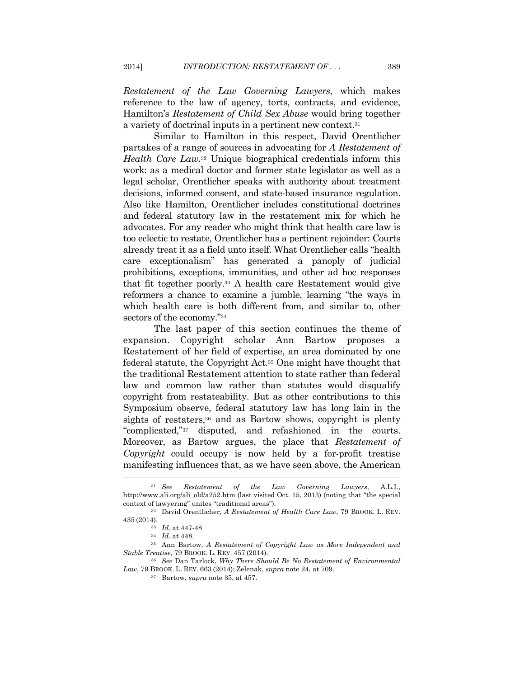*Restatement of the Law Governing Lawyers*, which makes reference to the law of agency, torts, contracts, and evidence, Hamilton's *Restatement of Child Sex Abuse* would bring together a variety of doctrinal inputs in a pertinent new context.31

Similar to Hamilton in this respect, David Orentlicher partakes of a range of sources in advocating for *A Restatement of Health Care Law*.32 Unique biographical credentials inform this work: as a medical doctor and former state legislator as well as a legal scholar, Orentlicher speaks with authority about treatment decisions, informed consent, and state-based insurance regulation. Also like Hamilton, Orentlicher includes constitutional doctrines and federal statutory law in the restatement mix for which he advocates. For any reader who might think that health care law is too eclectic to restate, Orentlicher has a pertinent rejoinder: Courts already treat it as a field unto itself. What Orentlicher calls "health care exceptionalism" has generated a panoply of judicial prohibitions, exceptions, immunities, and other ad hoc responses that fit together poorly.33 A health care Restatement would give reformers a chance to examine a jumble, learning "the ways in which health care is both different from, and similar to, other sectors of the economy."34

The last paper of this section continues the theme of expansion. Copyright scholar Ann Bartow proposes a Restatement of her field of expertise, an area dominated by one federal statute, the Copyright Act.35 One might have thought that the traditional Restatement attention to state rather than federal law and common law rather than statutes would disqualify copyright from restateability. But as other contributions to this Symposium observe, federal statutory law has long lain in the sights of restaters,<sup>36</sup> and as Bartow shows, copyright is plenty "complicated,"37 disputed, and refashioned in the courts. Moreover, as Bartow argues, the place that *Restatement of Copyright* could occupy is now held by a for-profit treatise manifesting influences that, as we have seen above, the American

<sup>31</sup> *See Restatement of the Law Governing Lawyers*, A.L.I., http://www.ali.org/ali\_old/a252.htm (last visited Oct. 15, 2013) (noting that "the special context of lawyering" unites "traditional areas"). 32 David Orentlicher, *A Restatement of Health Care Law*, 79 BROOK. L. REV.

<sup>435</sup> (2014). 33 *Id.* at 447-48 34 *Id.* at 448. 35 Ann Bartow, *A Restatement of Copyright Law as More Independent and* 

*Stable Treatise*, 79 BROOK. L. REV. <sup>457</sup> (2014). 36 *See* Dan Tarlock, *Why There Should Be No Restatement of Environmental* 

*Law*, 79 BROOK. L. REV. <sup>663</sup> (2014); Zelenak, *supra* note 24, at 709. 37 Bartow, *supra* note 35, at 457.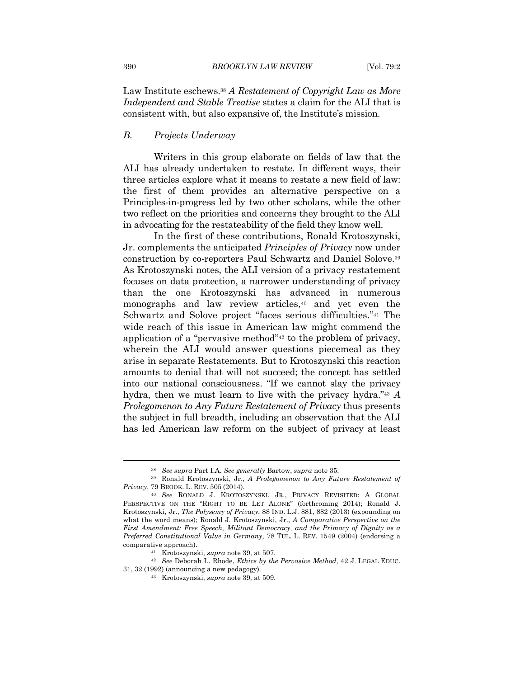Law Institute eschews.38 *A Restatement of Copyright Law as More Independent and Stable Treatise* states a claim for the ALI that is consistent with, but also expansive of, the Institute's mission.

#### *B. Projects Underway*

Writers in this group elaborate on fields of law that the ALI has already undertaken to restate. In different ways, their three articles explore what it means to restate a new field of law: the first of them provides an alternative perspective on a Principles-in-progress led by two other scholars, while the other two reflect on the priorities and concerns they brought to the ALI in advocating for the restateability of the field they know well.

In the first of these contributions, Ronald Krotoszynski, Jr. complements the anticipated *Principles of Privacy* now under construction by co-reporters Paul Schwartz and Daniel Solove.39 As Krotoszynski notes, the ALI version of a privacy restatement focuses on data protection, a narrower understanding of privacy than the one Krotoszynski has advanced in numerous monographs and law review articles,40 and yet even the Schwartz and Solove project "faces serious difficulties."41 The wide reach of this issue in American law might commend the application of a "pervasive method"42 to the problem of privacy, wherein the ALI would answer questions piecemeal as they arise in separate Restatements. But to Krotoszynski this reaction amounts to denial that will not succeed; the concept has settled into our national consciousness. "If we cannot slay the privacy hydra, then we must learn to live with the privacy hydra."43 *A Prolegomenon to Any Future Restatement of Privacy* thus presents the subject in full breadth, including an observation that the ALI has led American law reform on the subject of privacy at least

<sup>38</sup> *See supra* Part I.A. *See generally* Bartow, *supra* note 35. 39 Ronald Krotoszynski, Jr., *A Prolegomenon to Any Future Restatement of* 

<sup>&</sup>lt;sup>40</sup> See RONALD J. KROTOSZYNSKI, JR., PRIVACY REVISITED: A GLOBAL PERSPECTIVE ON THE "RIGHT TO BE LET ALONE" (forthcoming 2014); Ronald J. Krotoszynski, Jr., *The Polysemy of Privacy*, 88 IND. L.J. 881, 882 (2013) (expounding on what the word means); Ronald J. Krotoszynski, Jr., *A Comparative Perspective on the First Amendment: Free Speech, Militant Democracy, and the Primacy of Dignity as a Preferred Constitutional Value in Germany*, 78 TUL. L. REV. 1549 (2004) (endorsing a comparative approach).

<sup>41</sup> Krotoszynski, *supra* note 39, at 507. 42 *See* Deborah L. Rhode, *Ethics by the Pervasive Method*, 42 J. LEGAL EDUC. 31, 32 (1992) (announcing a new pedagogy). 43 Krotoszynski, *supra* note 39, at 509.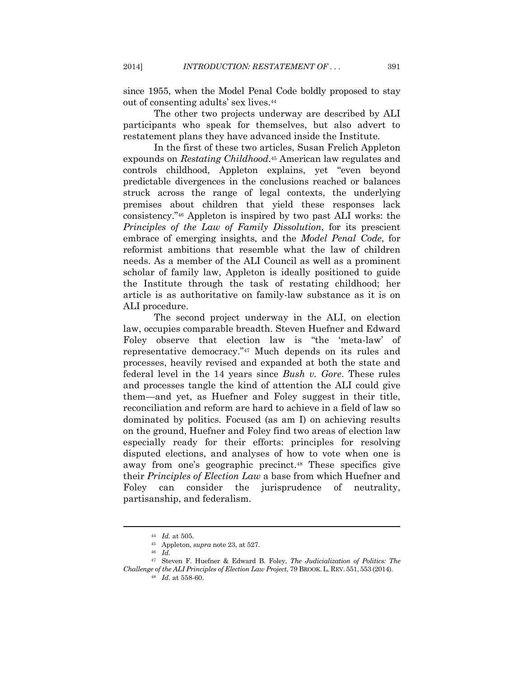since 1955, when the Model Penal Code boldly proposed to stay out of consenting adults' sex lives.44

The other two projects underway are described by ALI participants who speak for themselves, but also advert to restatement plans they have advanced inside the Institute.

In the first of these two articles, Susan Frelich Appleton expounds on *Restating Childhood*.45 American law regulates and controls childhood, Appleton explains, yet "even beyond predictable divergences in the conclusions reached or balances struck across the range of legal contexts, the underlying premises about children that yield these responses lack consistency."46 Appleton is inspired by two past ALI works: the *Principles of the Law of Family Dissolution*, for its prescient embrace of emerging insights, and the *Model Penal Code*, for reformist ambitions that resemble what the law of children needs. As a member of the ALI Council as well as a prominent scholar of family law, Appleton is ideally positioned to guide the Institute through the task of restating childhood; her article is as authoritative on family-law substance as it is on ALI procedure.

The second project underway in the ALI, on election law, occupies comparable breadth. Steven Huefner and Edward Foley observe that election law is "the 'meta-law' of representative democracy."47 Much depends on its rules and processes, heavily revised and expanded at both the state and federal level in the 14 years since *Bush v. Gore*. These rules and processes tangle the kind of attention the ALI could give them—and yet, as Huefner and Foley suggest in their title, reconciliation and reform are hard to achieve in a field of law so dominated by politics. Focused (as am I) on achieving results on the ground, Huefner and Foley find two areas of election law especially ready for their efforts: principles for resolving disputed elections, and analyses of how to vote when one is away from one's geographic precinct.48 These specifics give their *Principles of Election Law* a base from which Huefner and Foley can consider the jurisprudence of neutrality, partisanship, and federalism.

<sup>44</sup> *Id.* at 505. 45 Appleton, *supra* note 23, at 527. 46 *Id.* 47 Steven F. Huefner & Edward B. Foley, *The Judicialization of Politics: The Challenge of the ALI Principles of Election Law Project*, 79 BROOK. L. REV. 551, <sup>553</sup> (2014). 48 *Id.* at 558-60.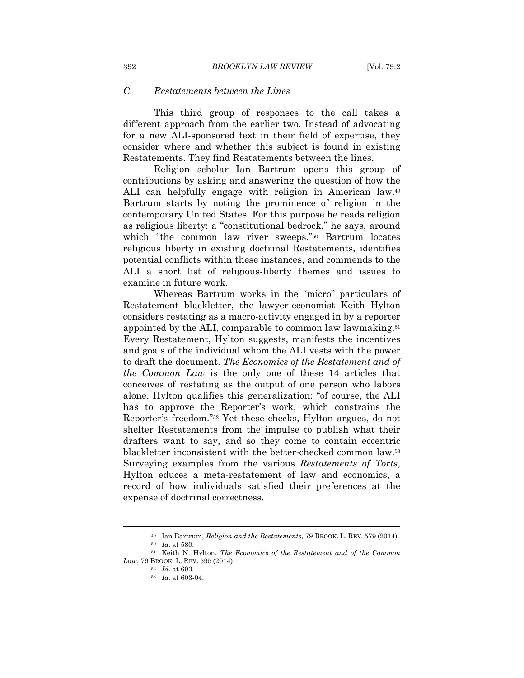#### *C. Restatements between the Lines*

This third group of responses to the call takes a different approach from the earlier two. Instead of advocating for a new ALI-sponsored text in their field of expertise, they consider where and whether this subject is found in existing Restatements. They find Restatements between the lines.

Religion scholar Ian Bartrum opens this group of contributions by asking and answering the question of how the ALI can helpfully engage with religion in American law.49 Bartrum starts by noting the prominence of religion in the contemporary United States. For this purpose he reads religion as religious liberty: a "constitutional bedrock," he says, around which "the common law river sweeps."50 Bartrum locates religious liberty in existing doctrinal Restatements, identifies potential conflicts within these instances, and commends to the ALI a short list of religious-liberty themes and issues to examine in future work.

Whereas Bartrum works in the "micro" particulars of Restatement blackletter, the lawyer-economist Keith Hylton considers restating as a macro-activity engaged in by a reporter appointed by the ALI, comparable to common law lawmaking.51 Every Restatement, Hylton suggests, manifests the incentives and goals of the individual whom the ALI vests with the power to draft the document. *The Economics of the Restatement and of the Common Law* is the only one of these 14 articles that conceives of restating as the output of one person who labors alone. Hylton qualifies this generalization: "of course, the ALI has to approve the Reporter's work, which constrains the Reporter's freedom."52 Yet these checks, Hylton argues, do not shelter Restatements from the impulse to publish what their drafters want to say, and so they come to contain eccentric blackletter inconsistent with the better-checked common law.53 Surveying examples from the various *Restatements of Torts*, Hylton educes a meta-restatement of law and economics, a record of how individuals satisfied their preferences at the expense of doctrinal correctness.

<sup>49</sup> Ian Bartrum, *Religion and the Restatements*, 79 BROOK. L. REV. <sup>579</sup> (2014). 50 *Id.* at 580. 51 Keith N. Hylton, *The Economics of the Restatement and of the Common* 

*Law*, 79 BROOK. L. REV. 595 (2014).<br><sup>52</sup> *Id.* at 603.<br><sup>53</sup> *Id.* at 603-04.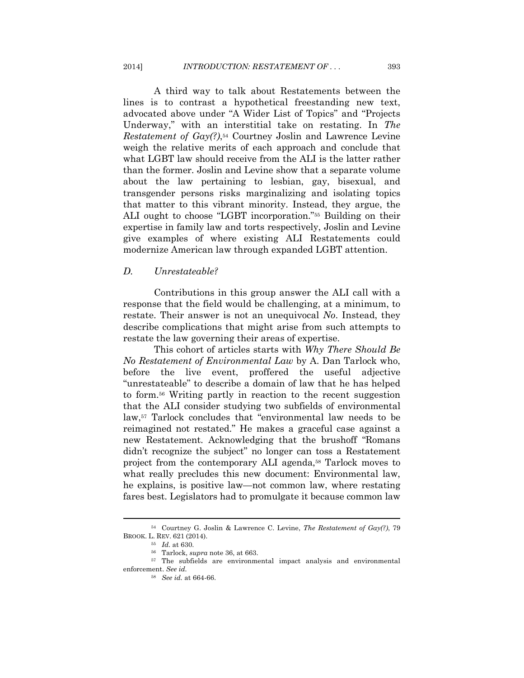A third way to talk about Restatements between the lines is to contrast a hypothetical freestanding new text, advocated above under "A Wider List of Topics" and "Projects Underway," with an interstitial take on restating. In *The Restatement of Gay(?)*,<sup>54</sup> Courtney Joslin and Lawrence Levine weigh the relative merits of each approach and conclude that what LGBT law should receive from the ALI is the latter rather than the former. Joslin and Levine show that a separate volume about the law pertaining to lesbian, gay, bisexual, and transgender persons risks marginalizing and isolating topics that matter to this vibrant minority. Instead, they argue, the ALI ought to choose "LGBT incorporation."55 Building on their expertise in family law and torts respectively, Joslin and Levine give examples of where existing ALI Restatements could modernize American law through expanded LGBT attention.

#### *D. Unrestateable?*

Contributions in this group answer the ALI call with a response that the field would be challenging, at a minimum, to restate. Their answer is not an unequivocal *No*. Instead, they describe complications that might arise from such attempts to restate the law governing their areas of expertise.

This cohort of articles starts with *Why There Should Be No Restatement of Environmental Law* by A. Dan Tarlock who, before the live event, proffered the useful adjective "unrestateable" to describe a domain of law that he has helped to form.56 Writing partly in reaction to the recent suggestion that the ALI consider studying two subfields of environmental law,57 Tarlock concludes that "environmental law needs to be reimagined not restated." He makes a graceful case against a new Restatement. Acknowledging that the brushoff "Romans didn't recognize the subject" no longer can toss a Restatement project from the contemporary ALI agenda,<sup>58</sup> Tarlock moves to what really precludes this new document: Environmental law, he explains, is positive law—not common law, where restating fares best. Legislators had to promulgate it because common law

<sup>54</sup> Courtney G. Joslin & Lawrence C. Levine, *The Restatement of Gay(?)*, 79

<sup>&</sup>lt;sup>55</sup> Id. at 630.<br><sup>56</sup> Tarlock, *supra* note 36, at 663.<br><sup>57</sup> The subfields are environmental impact analysis and environmental enforcement. *See id.* 

<sup>58</sup> *See id.* at 664-66.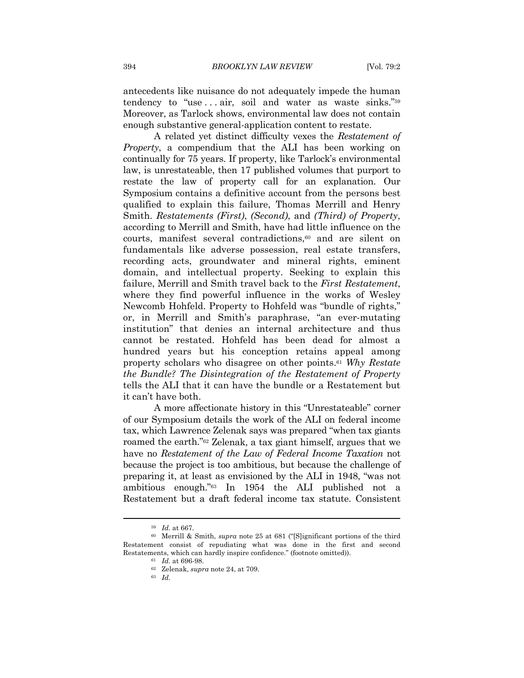antecedents like nuisance do not adequately impede the human tendency to "use ... air, soil and water as waste sinks."<sup>59</sup> Moreover, as Tarlock shows, environmental law does not contain enough substantive general-application content to restate.

A related yet distinct difficulty vexes the *Restatement of Property*, a compendium that the ALI has been working on continually for 75 years. If property, like Tarlock's environmental law, is unrestateable, then 17 published volumes that purport to restate the law of property call for an explanation. Our Symposium contains a definitive account from the persons best qualified to explain this failure, Thomas Merrill and Henry Smith. *Restatements (First)*, *(Second)*, and *(Third) of Property*, according to Merrill and Smith, have had little influence on the courts, manifest several contradictions,60 and are silent on fundamentals like adverse possession, real estate transfers, recording acts, groundwater and mineral rights, eminent domain, and intellectual property. Seeking to explain this failure, Merrill and Smith travel back to the *First Restatement*, where they find powerful influence in the works of Wesley Newcomb Hohfeld. Property to Hohfeld was "bundle of rights," or, in Merrill and Smith's paraphrase, "an ever-mutating institution" that denies an internal architecture and thus cannot be restated. Hohfeld has been dead for almost a hundred years but his conception retains appeal among property scholars who disagree on other points.61 *Why Restate the Bundle? The Disintegration of the Restatement of Property*  tells the ALI that it can have the bundle or a Restatement but it can't have both.

A more affectionate history in this "Unrestateable" corner of our Symposium details the work of the ALI on federal income tax, which Lawrence Zelenak says was prepared "when tax giants roamed the earth."62 Zelenak, a tax giant himself, argues that we have no *Restatement of the Law of Federal Income Taxation* not because the project is too ambitious, but because the challenge of preparing it, at least as envisioned by the ALI in 1948, "was not ambitious enough."63 In 1954 the ALI published not a Restatement but a draft federal income tax statute. Consistent

<sup>&</sup>lt;sup>59</sup> Id. at 667.<br><sup>60</sup> Merrill & Smith, *supra* note 25 at 681 ("[S]ignificant portions of the third Restatement consist of repudiating what was done in the first and second Restatements, which can hardly inspire confidence." (footnote omitted)).<br><sup>61</sup> *Id.* at 696-98.<br><sup>62</sup> Zelenak, *supra* note 24, at 709.<br><sup>63</sup> *Id.*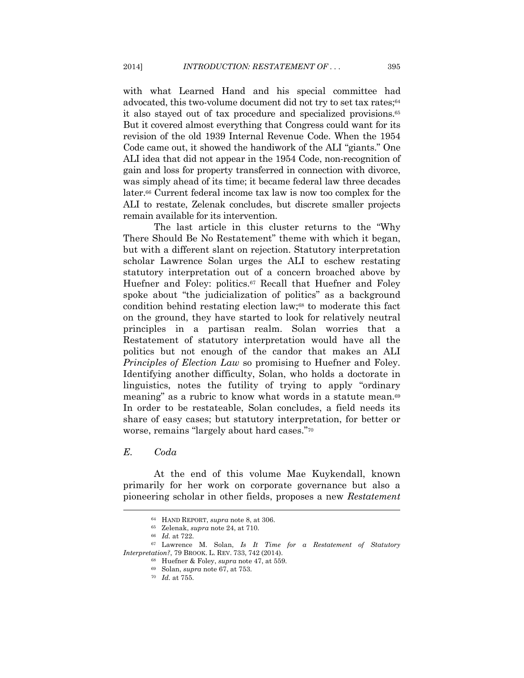with what Learned Hand and his special committee had advocated, this two-volume document did not try to set tax rates;<sup>64</sup> it also stayed out of tax procedure and specialized provisions.65 But it covered almost everything that Congress could want for its revision of the old 1939 Internal Revenue Code. When the 1954 Code came out, it showed the handiwork of the ALI "giants." One ALI idea that did not appear in the 1954 Code, non-recognition of gain and loss for property transferred in connection with divorce, was simply ahead of its time; it became federal law three decades later.66 Current federal income tax law is now too complex for the ALI to restate, Zelenak concludes, but discrete smaller projects remain available for its intervention.

The last article in this cluster returns to the "Why There Should Be No Restatement" theme with which it began, but with a different slant on rejection. Statutory interpretation scholar Lawrence Solan urges the ALI to eschew restating statutory interpretation out of a concern broached above by Huefner and Foley: politics.<sup>67</sup> Recall that Huefner and Foley spoke about "the judicialization of politics" as a background condition behind restating election law;68 to moderate this fact on the ground, they have started to look for relatively neutral principles in a partisan realm. Solan worries that a Restatement of statutory interpretation would have all the politics but not enough of the candor that makes an ALI *Principles of Election Law* so promising to Huefner and Foley. Identifying another difficulty, Solan, who holds a doctorate in linguistics, notes the futility of trying to apply "ordinary meaning" as a rubric to know what words in a statute mean.69 In order to be restateable, Solan concludes, a field needs its share of easy cases; but statutory interpretation, for better or worse, remains "largely about hard cases."70

#### *E. Coda*

At the end of this volume Mae Kuykendall, known primarily for her work on corporate governance but also a pioneering scholar in other fields, proposes a new *Restatement* 

<sup>64</sup> HAND REPORT, *supra* note 8, at 306. 65 Zelenak, *supra* note 24, at 710. 66 *Id.* at 722. 67 Lawrence M. Solan, *Is It Time for a Restatement of Statutory Interpretation?*, 79 BROOK. L. REV. 733, 742 (2014).<br><sup>68</sup> Huefner & Foley, *supra* note 47, at 559.<br><sup>69</sup> Solan, *supra* note 67, at 753.<br><sup>70</sup> *Id.* at 755.